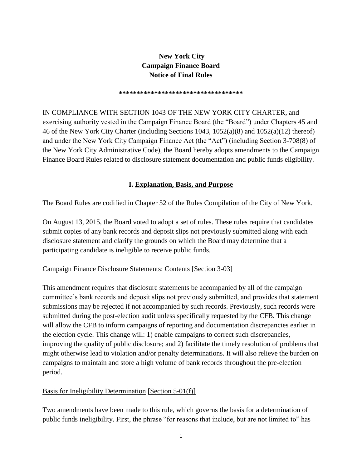# **New York City Campaign Finance Board Notice of Final Rules**

#### **\*\*\*\*\*\*\*\*\*\*\*\*\*\*\*\*\*\*\*\*\*\*\*\*\*\*\*\*\*\*\*\*\*\*\***

IN COMPLIANCE WITH SECTION 1043 OF THE NEW YORK CITY CHARTER, and exercising authority vested in the Campaign Finance Board (the "Board") under Chapters 45 and 46 of the New York City Charter (including Sections 1043, 1052(a)(8) and 1052(a)(12) thereof) and under the New York City Campaign Finance Act (the "Act") (including Section 3-708(8) of the New York City Administrative Code), the Board hereby adopts amendments to the Campaign Finance Board Rules related to disclosure statement documentation and public funds eligibility.

### **I. Explanation, Basis, and Purpose**

The Board Rules are codified in Chapter 52 of the Rules Compilation of the City of New York.

On August 13, 2015, the Board voted to adopt a set of rules. These rules require that candidates submit copies of any bank records and deposit slips not previously submitted along with each disclosure statement and clarify the grounds on which the Board may determine that a participating candidate is ineligible to receive public funds.

### Campaign Finance Disclosure Statements: Contents [Section 3-03]

This amendment requires that disclosure statements be accompanied by all of the campaign committee's bank records and deposit slips not previously submitted, and provides that statement submissions may be rejected if not accompanied by such records. Previously, such records were submitted during the post-election audit unless specifically requested by the CFB. This change will allow the CFB to inform campaigns of reporting and documentation discrepancies earlier in the election cycle. This change will: 1) enable campaigns to correct such discrepancies, improving the quality of public disclosure; and 2) facilitate the timely resolution of problems that might otherwise lead to violation and/or penalty determinations. It will also relieve the burden on campaigns to maintain and store a high volume of bank records throughout the pre-election period.

### Basis for Ineligibility Determination [Section 5-01(f)]

Two amendments have been made to this rule, which governs the basis for a determination of public funds ineligibility. First, the phrase "for reasons that include, but are not limited to" has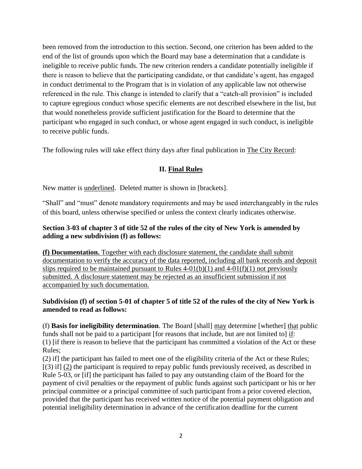been removed from the introduction to this section. Second, one criterion has been added to the end of the list of grounds upon which the Board may base a determination that a candidate is ineligible to receive public funds. The new criterion renders a candidate potentially ineligible if there is reason to believe that the participating candidate, or that candidate's agent, has engaged in conduct detrimental to the Program that is in violation of any applicable law not otherwise referenced in the rule. This change is intended to clarify that a "catch-all provision" is included to capture egregious conduct whose specific elements are not described elsewhere in the list, but that would nonetheless provide sufficient justification for the Board to determine that the participant who engaged in such conduct, or whose agent engaged in such conduct, is ineligible to receive public funds.

The following rules will take effect thirty days after final publication in The City Record:

# **II. Final Rules**

New matter is underlined. Deleted matter is shown in [brackets].

"Shall" and "must" denote mandatory requirements and may be used interchangeably in the rules of this board, unless otherwise specified or unless the context clearly indicates otherwise.

# **Section 3-03 of chapter 3 of title 52 of the rules of the city of New York is amended by adding a new subdivision (f) as follows:**

**(f) Documentation.** Together with each disclosure statement, the candidate shall submit documentation to verify the accuracy of the data reported, including all bank records and deposit slips required to be maintained pursuant to Rules  $4-01(b)(1)$  and  $4-01(f)(1)$  not previously submitted. A disclosure statement may be rejected as an insufficient submission if not accompanied by such documentation.

### **Subdivision (f) of section 5-01 of chapter 5 of title 52 of the rules of the city of New York is amended to read as follows:**

(f) **Basis for ineligibility determination**. The Board [shall] may determine [whether] that public funds shall not be paid to a participant [for reasons that include, but are not limited to] if: (1) [if there is reason to believe that the participant has committed a violation of the Act or these Rules;

(2) if] the participant has failed to meet one of the eligibility criteria of the Act or these Rules; [(3) if] (2) the participant is required to repay public funds previously received, as described in Rule 5-03, or [if] the participant has failed to pay any outstanding claim of the Board for the payment of civil penalties or the repayment of public funds against such participant or his or her principal committee or a principal committee of such participant from a prior covered election, provided that the participant has received written notice of the potential payment obligation and potential ineligibility determination in advance of the certification deadline for the current